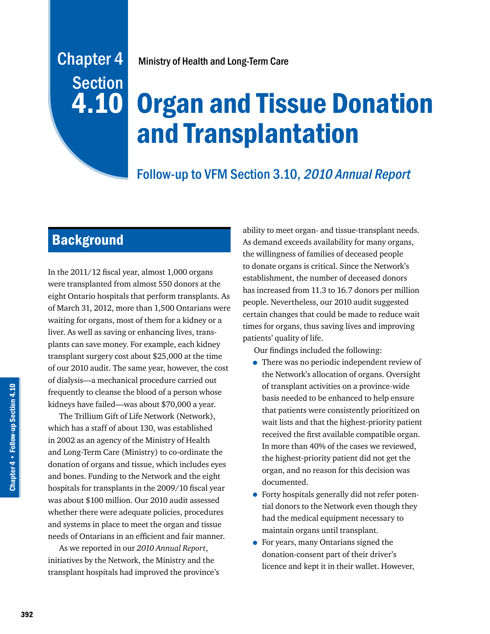# **Section** 4.10

# Chapter 4 Ministry of Health and Long-Term Care

# Organ and Tissue Donation and Transplantation

# Follow-up to VFM Section 3.10, 2010 Annual Report

# **Background**

In the 2011/12 fiscal year, almost 1,000 organs were transplanted from almost 550 donors at the eight Ontario hospitals that perform transplants. As of March 31, 2012, more than 1,500 Ontarians were waiting for organs, most of them for a kidney or a liver. As well as saving or enhancing lives, transplants can save money. For example, each kidney transplant surgery cost about \$25,000 at the time of our 2010 audit. The same year, however, the cost of dialysis—a mechanical procedure carried out frequently to cleanse the blood of a person whose kidneys have failed—was about \$70,000 a year.

The Trillium Gift of Life Network (Network), which has a staff of about 130, was established in 2002 as an agency of the Ministry of Health and Long-Term Care (Ministry) to co-ordinate the donation of organs and tissue, which includes eyes and bones. Funding to the Network and the eight hospitals for transplants in the 2009/10 fiscal year was about \$100 million. Our 2010 audit assessed whether there were adequate policies, procedures and systems in place to meet the organ and tissue needs of Ontarians in an efficient and fair manner.

As we reported in our *2010 Annual Report*, initiatives by the Network, the Ministry and the transplant hospitals had improved the province's ability to meet organ- and tissue-transplant needs. As demand exceeds availability for many organs, the willingness of families of deceased people to donate organs is critical. Since the Network's establishment, the number of deceased donors has increased from 11.3 to 16.7 donors per million people. Nevertheless, our 2010 audit suggested certain changes that could be made to reduce wait times for organs, thus saving lives and improving patients' quality of life.

Our findings included the following:

- There was no periodic independent review of the Network's allocation of organs. Oversight of transplant activities on a province-wide basis needed to be enhanced to help ensure that patients were consistently prioritized on wait lists and that the highest-priority patient received the first available compatible organ. In more than 40% of the cases we reviewed, the highest-priority patient did not get the organ, and no reason for this decision was documented.
- Forty hospitals generally did not refer potential donors to the Network even though they had the medical equipment necessary to maintain organs until transplant.
- For years, many Ontarians signed the donation-consent part of their driver's licence and kept it in their wallet. However,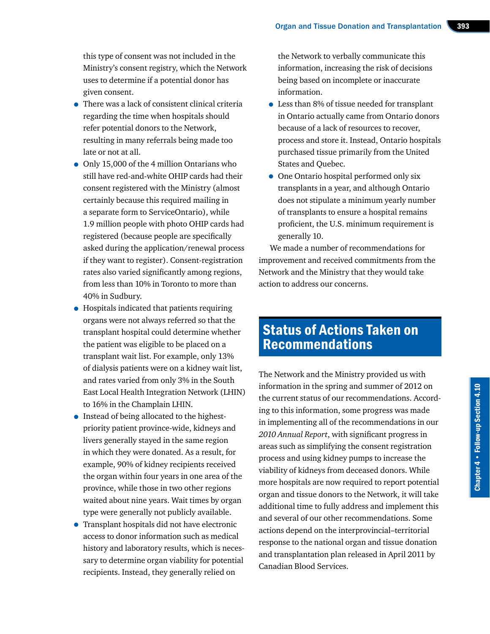this type of consent was not included in the Ministry's consent registry, which the Network uses to determine if a potential donor has given consent.

- There was a lack of consistent clinical criteria regarding the time when hospitals should refer potential donors to the Network, resulting in many referrals being made too late or not at all.
- Only 15,000 of the 4 million Ontarians who still have red-and-white OHIP cards had their consent registered with the Ministry (almost certainly because this required mailing in a separate form to ServiceOntario), while 1.9 million people with photo OHIP cards had registered (because people are specifically asked during the application/renewal process if they want to register). Consent-registration rates also varied significantly among regions, from less than 10% in Toronto to more than 40% in Sudbury.
- Hospitals indicated that patients requiring organs were not always referred so that the transplant hospital could determine whether the patient was eligible to be placed on a transplant wait list. For example, only 13% of dialysis patients were on a kidney wait list, and rates varied from only 3% in the South East Local Health Integration Network (LHIN) to 16% in the Champlain LHIN.
- Instead of being allocated to the highestpriority patient province-wide, kidneys and livers generally stayed in the same region in which they were donated. As a result, for example, 90% of kidney recipients received the organ within four years in one area of the province, while those in two other regions waited about nine years. Wait times by organ type were generally not publicly available.
- Transplant hospitals did not have electronic access to donor information such as medical history and laboratory results, which is necessary to determine organ viability for potential recipients. Instead, they generally relied on

the Network to verbally communicate this information, increasing the risk of decisions being based on incomplete or inaccurate information.

- Less than 8% of tissue needed for transplant in Ontario actually came from Ontario donors because of a lack of resources to recover, process and store it. Instead, Ontario hospitals purchased tissue primarily from the United States and Quebec.
- One Ontario hospital performed only six transplants in a year, and although Ontario does not stipulate a minimum yearly number of transplants to ensure a hospital remains proficient, the U.S. minimum requirement is generally 10.

We made a number of recommendations for improvement and received commitments from the Network and the Ministry that they would take action to address our concerns.

# Status of Actions Taken on Recommendations

The Network and the Ministry provided us with information in the spring and summer of 2012 on the current status of our recommendations. According to this information, some progress was made in implementing all of the recommendations in our *2010 Annual Report*, with significant progress in areas such as simplifying the consent registration process and using kidney pumps to increase the viability of kidneys from deceased donors. While more hospitals are now required to report potential organ and tissue donors to the Network, it will take additional time to fully address and implement this and several of our other recommendations. Some actions depend on the interprovincial–territorial response to the national organ and tissue donation and transplantation plan released in April 2011 by Canadian Blood Services.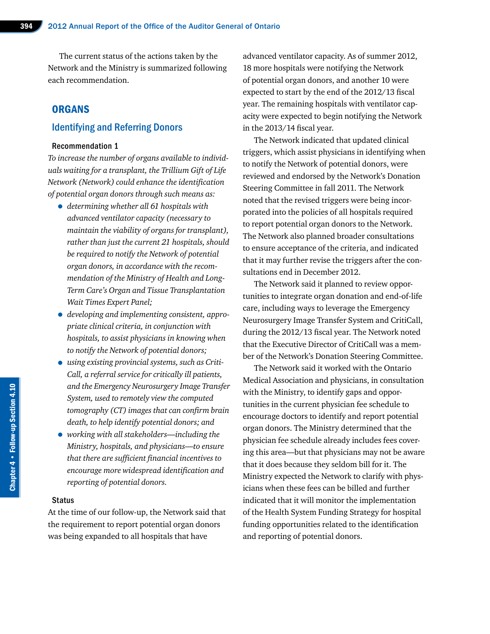The current status of the actions taken by the Network and the Ministry is summarized following each recommendation.

### **ORGANS**

### Identifying and Referring Donors

#### Recommendation 1

*To increase the number of organs available to individuals waiting for a transplant, the Trillium Gift of Life Network (Network) could enhance the identification of potential organ donors through such means as:*

- *determining whether all 61 hospitals with advanced ventilator capacity (necessary to maintain the viability of organs for transplant), rather than just the current 21 hospitals, should be required to notify the Network of potential organ donors, in accordance with the recommendation of the Ministry of Health and Long-Term Care's Organ and Tissue Transplantation Wait Times Expert Panel;*
- *developing and implementing consistent, appropriate clinical criteria, in conjunction with hospitals, to assist physicians in knowing when to notify the Network of potential donors;*
- *using existing provincial systems, such as Criti-Call, a referral service for critically ill patients, and the Emergency Neurosurgery Image Transfer System, used to remotely view the computed tomography (CT) images that can confirm brain death, to help identify potential donors; and*
- *working with all stakeholders—including the Ministry, hospitals, and physicians—to ensure that there are sufficient financial incentives to encourage more widespread identification and reporting of potential donors.*

#### Status

At the time of our follow-up, the Network said that the requirement to report potential organ donors was being expanded to all hospitals that have

advanced ventilator capacity. As of summer 2012, 18 more hospitals were notifying the Network of potential organ donors, and another 10 were expected to start by the end of the 2012/13 fiscal year. The remaining hospitals with ventilator capacity were expected to begin notifying the Network in the 2013/14 fiscal year.

The Network indicated that updated clinical triggers, which assist physicians in identifying when to notify the Network of potential donors, were reviewed and endorsed by the Network's Donation Steering Committee in fall 2011. The Network noted that the revised triggers were being incorporated into the policies of all hospitals required to report potential organ donors to the Network. The Network also planned broader consultations to ensure acceptance of the criteria, and indicated that it may further revise the triggers after the consultations end in December 2012.

The Network said it planned to review opportunities to integrate organ donation and end-of-life care, including ways to leverage the Emergency Neurosurgery Image Transfer System and CritiCall, during the 2012/13 fiscal year. The Network noted that the Executive Director of CritiCall was a member of the Network's Donation Steering Committee.

The Network said it worked with the Ontario Medical Association and physicians, in consultation with the Ministry, to identify gaps and opportunities in the current physician fee schedule to encourage doctors to identify and report potential organ donors. The Ministry determined that the physician fee schedule already includes fees covering this area—but that physicians may not be aware that it does because they seldom bill for it. The Ministry expected the Network to clarify with physicians when these fees can be billed and further indicated that it will monitor the implementation of the Health System Funding Strategy for hospital funding opportunities related to the identification and reporting of potential donors.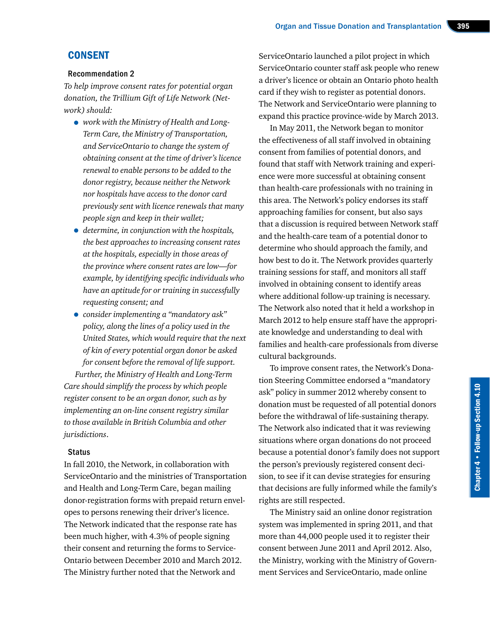# **CONSENT**

#### Recommendation 2

*To help improve consent rates for potential organ donation, the Trillium Gift of Life Network (Network) should:*

- *work with the Ministry of Health and Long-Term Care, the Ministry of Transportation, and ServiceOntario to change the system of obtaining consent at the time of driver's licence renewal to enable persons to be added to the donor registry, because neither the Network nor hospitals have access to the donor card previously sent with licence renewals that many people sign and keep in their wallet;*
- *determine, in conjunction with the hospitals, the best approaches to increasing consent rates at the hospitals, especially in those areas of the province where consent rates are low—for example, by identifying specific individuals who have an aptitude for or training in successfully requesting consent; and*
- *consider implementing a "mandatory ask" policy, along the lines of a policy used in the United States, which would require that the next of kin of every potential organ donor be asked for consent before the removal of life support.*

*Further, the Ministry of Health and Long-Term Care should simplify the process by which people register consent to be an organ donor, such as by implementing an on-line consent registry similar to those available in British Columbia and other jurisdictions*.

#### **Status**

In fall 2010, the Network, in collaboration with ServiceOntario and the ministries of Transportation and Health and Long-Term Care, began mailing donor-registration forms with prepaid return envelopes to persons renewing their driver's licence. The Network indicated that the response rate has been much higher, with 4.3% of people signing their consent and returning the forms to Service-Ontario between December 2010 and March 2012. The Ministry further noted that the Network and

ServiceOntario launched a pilot project in which ServiceOntario counter staff ask people who renew a driver's licence or obtain an Ontario photo health card if they wish to register as potential donors. The Network and ServiceOntario were planning to expand this practice province-wide by March 2013.

In May 2011, the Network began to monitor the effectiveness of all staff involved in obtaining consent from families of potential donors, and found that staff with Network training and experience were more successful at obtaining consent than health-care professionals with no training in this area. The Network's policy endorses its staff approaching families for consent, but also says that a discussion is required between Network staff and the health-care team of a potential donor to determine who should approach the family, and how best to do it. The Network provides quarterly training sessions for staff, and monitors all staff involved in obtaining consent to identify areas where additional follow-up training is necessary. The Network also noted that it held a workshop in March 2012 to help ensure staff have the appropriate knowledge and understanding to deal with families and health-care professionals from diverse cultural backgrounds.

To improve consent rates, the Network's Donation Steering Committee endorsed a "mandatory ask" policy in summer 2012 whereby consent to donation must be requested of all potential donors before the withdrawal of life-sustaining therapy. The Network also indicated that it was reviewing situations where organ donations do not proceed because a potential donor's family does not support the person's previously registered consent decision, to see if it can devise strategies for ensuring that decisions are fully informed while the family's rights are still respected.

The Ministry said an online donor registration system was implemented in spring 2011, and that more than 44,000 people used it to register their consent between June 2011 and April 2012. Also, the Ministry, working with the Ministry of Government Services and ServiceOntario, made online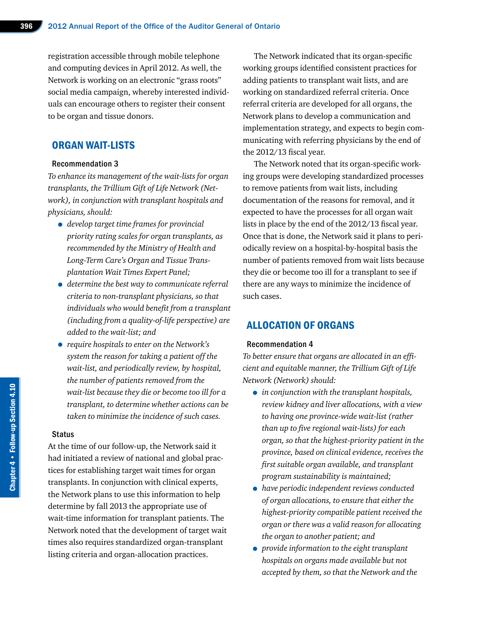registration accessible through mobile telephone and computing devices in April 2012. As well, the Network is working on an electronic "grass roots" social media campaign, whereby interested individuals can encourage others to register their consent to be organ and tissue donors.

## ORGAN WAIT-LISTS

#### Recommendation 3

*To enhance its management of the wait-lists for organ transplants, the Trillium Gift of Life Network (Network), in conjunction with transplant hospitals and physicians, should:*

- *develop target time frames for provincial priority rating scales for organ transplants, as recommended by the Ministry of Health and Long-Term Care's Organ and Tissue Transplantation Wait Times Expert Panel;*
- *determine the best way to communicate referral criteria to non-transplant physicians, so that individuals who would benefit from a transplant (including from a quality-of-life perspective) are added to the wait-list; and*
- *require hospitals to enter on the Network's system the reason for taking a patient off the wait-list, and periodically review, by hospital, the number of patients removed from the wait-list because they die or become too ill for a transplant, to determine whether actions can be taken to minimize the incidence of such cases.*

#### Status

At the time of our follow-up, the Network said it had initiated a review of national and global practices for establishing target wait times for organ transplants. In conjunction with clinical experts, the Network plans to use this information to help determine by fall 2013 the appropriate use of wait-time information for transplant patients. The Network noted that the development of target wait times also requires standardized organ-transplant listing criteria and organ-allocation practices.

The Network indicated that its organ-specific working groups identified consistent practices for adding patients to transplant wait lists, and are working on standardized referral criteria. Once referral criteria are developed for all organs, the Network plans to develop a communication and implementation strategy, and expects to begin communicating with referring physicians by the end of the 2012/13 fiscal year.

The Network noted that its organ-specific working groups were developing standardized processes to remove patients from wait lists, including documentation of the reasons for removal, and it expected to have the processes for all organ wait lists in place by the end of the 2012/13 fiscal year. Once that is done, the Network said it plans to periodically review on a hospital-by-hospital basis the number of patients removed from wait lists because they die or become too ill for a transplant to see if there are any ways to minimize the incidence of such cases.

# ALLOCATION OF ORGANS

#### Recommendation 4

*To better ensure that organs are allocated in an efficient and equitable manner, the Trillium Gift of Life Network (Network) should:*

- *in conjunction with the transplant hospitals, review kidney and liver allocations, with a view to having one province-wide wait-list (rather than up to five regional wait-lists) for each organ, so that the highest-priority patient in the province, based on clinical evidence, receives the first suitable organ available, and transplant program sustainability is maintained;*
- *have periodic independent reviews conducted of organ allocations, to ensure that either the highest-priority compatible patient received the organ or there was a valid reason for allocating the organ to another patient; and*
- *provide information to the eight transplant hospitals on organs made available but not accepted by them, so that the Network and the*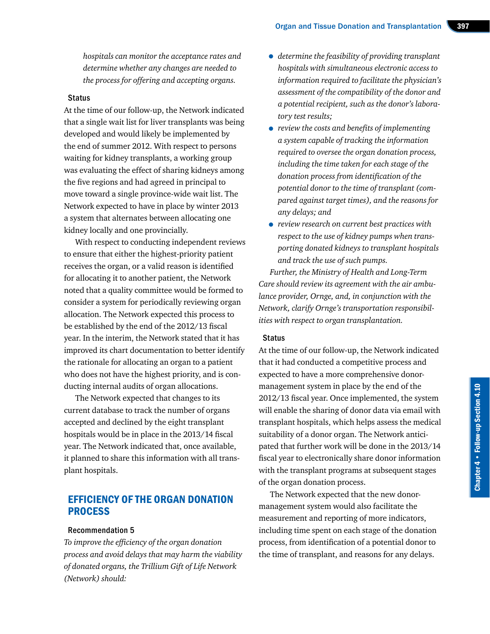*hospitals can monitor the acceptance rates and determine whether any changes are needed to the process for offering and accepting organs.*

#### **Status**

At the time of our follow-up, the Network indicated that a single wait list for liver transplants was being developed and would likely be implemented by the end of summer 2012. With respect to persons waiting for kidney transplants, a working group was evaluating the effect of sharing kidneys among the five regions and had agreed in principal to move toward a single province-wide wait list. The Network expected to have in place by winter 2013 a system that alternates between allocating one kidney locally and one provincially.

With respect to conducting independent reviews to ensure that either the highest-priority patient receives the organ, or a valid reason is identified for allocating it to another patient, the Network noted that a quality committee would be formed to consider a system for periodically reviewing organ allocation. The Network expected this process to be established by the end of the 2012/13 fiscal year. In the interim, the Network stated that it has improved its chart documentation to better identify the rationale for allocating an organ to a patient who does not have the highest priority, and is conducting internal audits of organ allocations.

The Network expected that changes to its current database to track the number of organs accepted and declined by the eight transplant hospitals would be in place in the 2013/14 fiscal year. The Network indicated that, once available, it planned to share this information with all transplant hospitals.

## EFFICIENCY OF THE ORGAN DONATION PROCESS

#### Recommendation 5

*To improve the efficiency of the organ donation process and avoid delays that may harm the viability of donated organs, the Trillium Gift of Life Network (Network) should:*

- *determine the feasibility of providing transplant hospitals with simultaneous electronic access to information required to facilitate the physician's assessment of the compatibility of the donor and a potential recipient, such as the donor's laboratory test results;*
- *review the costs and benefits of implementing a system capable of tracking the information required to oversee the organ donation process, including the time taken for each stage of the donation process from identification of the potential donor to the time of transplant (compared against target times), and the reasons for any delays; and*
- *review research on current best practices with respect to the use of kidney pumps when transporting donated kidneys to transplant hospitals and track the use of such pumps.*

*Further, the Ministry of Health and Long-Term Care should review its agreement with the air ambulance provider, Ornge, and, in conjunction with the Network, clarify Ornge's transportation responsibilities with respect to organ transplantation.*

#### **Status**

At the time of our follow-up, the Network indicated that it had conducted a competitive process and expected to have a more comprehensive donormanagement system in place by the end of the 2012/13 fiscal year. Once implemented, the system will enable the sharing of donor data via email with transplant hospitals, which helps assess the medical suitability of a donor organ. The Network anticipated that further work will be done in the 2013/14 fiscal year to electronically share donor information with the transplant programs at subsequent stages of the organ donation process.

The Network expected that the new donormanagement system would also facilitate the measurement and reporting of more indicators, including time spent on each stage of the donation process, from identification of a potential donor to the time of transplant, and reasons for any delays.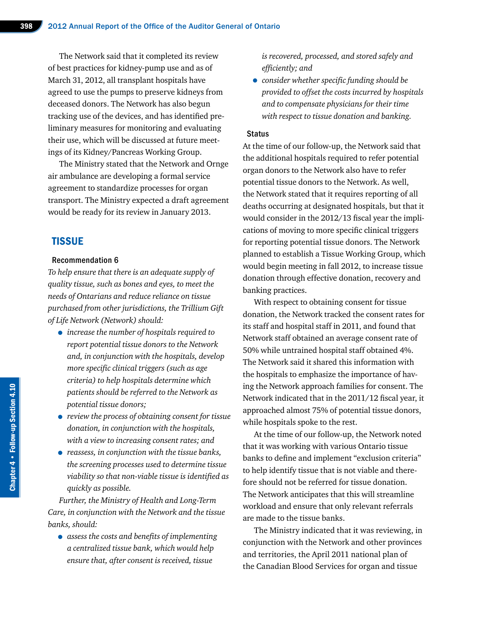The Network said that it completed its review of best practices for kidney-pump use and as of March 31, 2012, all transplant hospitals have agreed to use the pumps to preserve kidneys from deceased donors. The Network has also begun tracking use of the devices, and has identified preliminary measures for monitoring and evaluating their use, which will be discussed at future meetings of its Kidney/Pancreas Working Group.

The Ministry stated that the Network and Ornge air ambulance are developing a formal service agreement to standardize processes for organ transport. The Ministry expected a draft agreement would be ready for its review in January 2013.

## **TISSUE**

#### Recommendation 6

*To help ensure that there is an adequate supply of quality tissue, such as bones and eyes, to meet the needs of Ontarians and reduce reliance on tissue purchased from other jurisdictions, the Trillium Gift of Life Network (Network) should:*

- *increase the number of hospitals required to report potential tissue donors to the Network and, in conjunction with the hospitals, develop more specific clinical triggers (such as age criteria) to help hospitals determine which patients should be referred to the Network as potential tissue donors;*
- *review the process of obtaining consent for tissue donation, in conjunction with the hospitals, with a view to increasing consent rates; and*
- *reassess, in conjunction with the tissue banks, the screening processes used to determine tissue viability so that non-viable tissue is identified as quickly as possible.*

*Further, the Ministry of Health and Long-Term Care, in conjunction with the Network and the tissue banks, should:*

• *assess the costs and benefits of implementing a centralized tissue bank, which would help ensure that, after consent is received, tissue* 

*is recovered, processed, and stored safely and efficiently; and*

• *consider whether specific funding should be provided to offset the costs incurred by hospitals and to compensate physicians for their time with respect to tissue donation and banking.*

#### **Status**

At the time of our follow-up, the Network said that the additional hospitals required to refer potential organ donors to the Network also have to refer potential tissue donors to the Network. As well, the Network stated that it requires reporting of all deaths occurring at designated hospitals, but that it would consider in the 2012/13 fiscal year the implications of moving to more specific clinical triggers for reporting potential tissue donors. The Network planned to establish a Tissue Working Group, which would begin meeting in fall 2012, to increase tissue donation through effective donation, recovery and banking practices.

With respect to obtaining consent for tissue donation, the Network tracked the consent rates for its staff and hospital staff in 2011, and found that Network staff obtained an average consent rate of 50% while untrained hospital staff obtained 4%. The Network said it shared this information with the hospitals to emphasize the importance of having the Network approach families for consent. The Network indicated that in the 2011/12 fiscal year, it approached almost 75% of potential tissue donors, while hospitals spoke to the rest.

At the time of our follow-up, the Network noted that it was working with various Ontario tissue banks to define and implement "exclusion criteria" to help identify tissue that is not viable and therefore should not be referred for tissue donation. The Network anticipates that this will streamline workload and ensure that only relevant referrals are made to the tissue banks.

The Ministry indicated that it was reviewing, in conjunction with the Network and other provinces and territories, the April 2011 national plan of the Canadian Blood Services for organ and tissue